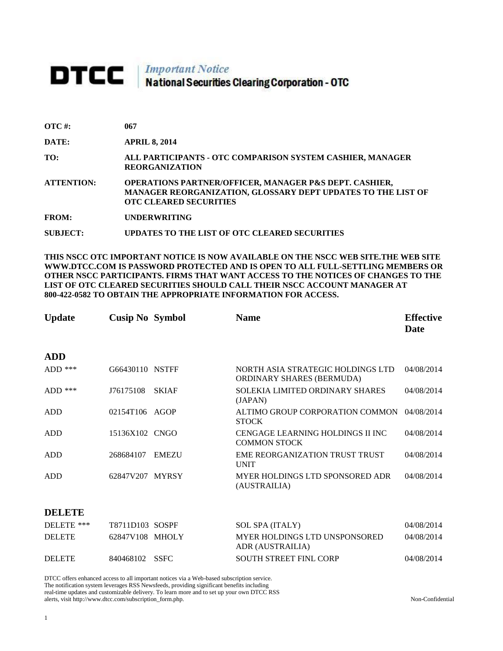## **DTCC** National Securities Clearing Corporation - OTC

| $\overline{OTC}$ #: | 067                                                                                                                                                                |
|---------------------|--------------------------------------------------------------------------------------------------------------------------------------------------------------------|
| DATE:               | <b>APRIL 8, 2014</b>                                                                                                                                               |
| TO:                 | ALL PARTICIPANTS - OTC COMPARISON SYSTEM CASHIER, MANAGER<br><b>REORGANIZATION</b>                                                                                 |
| <b>ATTENTION:</b>   | <b>OPERATIONS PARTNER/OFFICER, MANAGER P&amp;S DEPT. CASHIER,</b><br>MANAGER REORGANIZATION, GLOSSARY DEPT UPDATES TO THE LIST OF<br><b>OTC CLEARED SECURITIES</b> |
| <b>FROM:</b>        | <b>UNDERWRITING</b>                                                                                                                                                |
| SUBJECT:            | UPDATES TO THE LIST OF OTC CLEARED SECURITIES                                                                                                                      |

**THIS NSCC OTC IMPORTANT NOTICE IS NOW AVAILABLE ON THE NSCC WEB SITE.THE WEB SITE WWW.DTCC.COM IS PASSWORD PROTECTED AND IS OPEN TO ALL FULL-SETTLING MEMBERS OR OTHER NSCC PARTICIPANTS. FIRMS THAT WANT ACCESS TO THE NOTICES OF CHANGES TO THE LIST OF OTC CLEARED SECURITIES SHOULD CALL THEIR NSCC ACCOUNT MANAGER AT 800-422-0582 TO OBTAIN THE APPROPRIATE INFORMATION FOR ACCESS.** 

| <b>Update</b> | <b>Cusip No Symbol</b> |              | <b>Name</b>                                                           | <b>Effective</b><br>Date |
|---------------|------------------------|--------------|-----------------------------------------------------------------------|--------------------------|
| <b>ADD</b>    |                        |              |                                                                       |                          |
| ADD $***$     | G66430110 NSTFF        |              | NORTH ASIA STRATEGIC HOLDINGS LTD<br><b>ORDINARY SHARES (BERMUDA)</b> | 04/08/2014               |
| $ADD$ ***     | J76175108              | <b>SKIAF</b> | <b>SOLEKIA LIMITED ORDINARY SHARES</b><br>(JAPAN)                     | 04/08/2014               |
| ADD           | 02154T106              | AGOP         | ALTIMO GROUP CORPORATION COMMON<br><b>STOCK</b>                       | 04/08/2014               |
| <b>ADD</b>    | 15136X102 CNGO         |              | CENGAGE LEARNING HOLDINGS II INC<br><b>COMMON STOCK</b>               | 04/08/2014               |
| ADD           | 268684107              | <b>EMEZU</b> | <b>EME REORGANIZATION TRUST TRUST</b><br><b>UNIT</b>                  | 04/08/2014               |
| ADD           | 62847V207 MYRSY        |              | MYER HOLDINGS LTD SPONSORED ADR<br>(AUSTRAILIA)                       | 04/08/2014               |
| --------      |                        |              |                                                                       |                          |

## **DELETE**

| DELETE ***    | <b>T8711D103 SOSPF</b> | SOL SPA (ITALY)                                   | 04/08/2014 |
|---------------|------------------------|---------------------------------------------------|------------|
| <b>DELETE</b> | 62847V108 MHOLY        | MYER HOLDINGS LTD UNSPONSORED<br>ADR (AUSTRAILIA) | 04/08/2014 |
| <b>DELETE</b> | 840468102 SSFC         | <b>SOUTH STREET FINL CORP</b>                     | 04/08/2014 |

DTCC offers enhanced access to all important notices via a Web-based subscription service. The notification system leverages RSS Newsfeeds, providing significant benefits including real-time updates and customizable delivery. To learn more and to set up your own DTCC RSS alerts, visit http://www.dtcc.com/subscription\_form.php. Non-Confidential